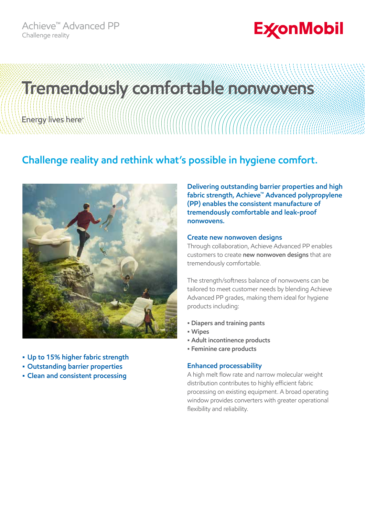## **ExconMobil**

# **Tremendously comfortable nonwovens**Energy lives here

### **Challenge reality and rethink what's possible in hygiene comfort.**



- **• Up to 15% higher fabric strength**
- **• Outstanding barrier properties**
- **• Clean and consistent processing**

**Delivering outstanding barrier properties and high fabric strength, Achieve™ Advanced polypropylene (PP) enables the consistent manufacture of tremendously comfortable and leak-proof nonwovens.**

#### **Create new nonwoven designs**

Through collaboration, Achieve Advanced PP enables customers to create **new nonwoven designs** that are tremendously comfortable.

The strength/softness balance of nonwovens can be tailored to meet customer needs by blending Achieve Advanced PP grades, making them ideal for hygiene products including:

- **Diapers and training pants**
- **Wipes**
- **Adult incontinence products**
- **Feminine care products**

#### **Enhanced processability**

A high melt flow rate and narrow molecular weight distribution contributes to highly efficient fabric processing on existing equipment. A broad operating window provides converters with greater operational flexibility and reliability.